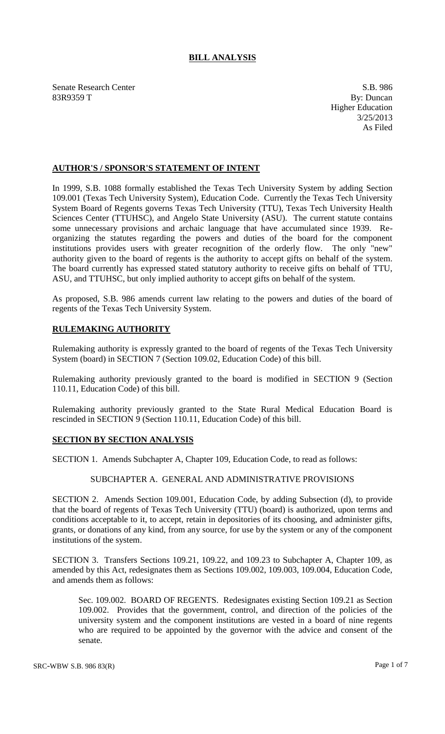# **BILL ANALYSIS**

Senate Research Center S.B. 986 83R9359 T By: Duncan

Higher Education 3/25/2013 As Filed

## **AUTHOR'S / SPONSOR'S STATEMENT OF INTENT**

In 1999, S.B. 1088 formally established the Texas Tech University System by adding Section 109.001 (Texas Tech University System), Education Code. Currently the Texas Tech University System Board of Regents governs Texas Tech University (TTU), Texas Tech University Health Sciences Center (TTUHSC), and Angelo State University (ASU). The current statute contains some unnecessary provisions and archaic language that have accumulated since 1939. Reorganizing the statutes regarding the powers and duties of the board for the component institutions provides users with greater recognition of the orderly flow. The only "new" authority given to the board of regents is the authority to accept gifts on behalf of the system. The board currently has expressed stated statutory authority to receive gifts on behalf of TTU, ASU, and TTUHSC, but only implied authority to accept gifts on behalf of the system.

As proposed, S.B. 986 amends current law relating to the powers and duties of the board of regents of the Texas Tech University System.

# **RULEMAKING AUTHORITY**

Rulemaking authority is expressly granted to the board of regents of the Texas Tech University System (board) in SECTION 7 (Section 109.02, Education Code) of this bill.

Rulemaking authority previously granted to the board is modified in SECTION 9 (Section 110.11, Education Code) of this bill.

Rulemaking authority previously granted to the State Rural Medical Education Board is rescinded in SECTION 9 (Section 110.11, Education Code) of this bill.

### **SECTION BY SECTION ANALYSIS**

SECTION 1. Amends Subchapter A, Chapter 109, Education Code, to read as follows:

#### SUBCHAPTER A. GENERAL AND ADMINISTRATIVE PROVISIONS

SECTION 2. Amends Section 109.001, Education Code, by adding Subsection (d), to provide that the board of regents of Texas Tech University (TTU) (board) is authorized, upon terms and conditions acceptable to it, to accept, retain in depositories of its choosing, and administer gifts, grants, or donations of any kind, from any source, for use by the system or any of the component institutions of the system.

SECTION 3. Transfers Sections 109.21, 109.22, and 109.23 to Subchapter A, Chapter 109, as amended by this Act, redesignates them as Sections 109.002, 109.003, 109.004, Education Code, and amends them as follows:

Sec. 109.002. BOARD OF REGENTS. Redesignates existing Section 109.21 as Section 109.002. Provides that the government, control, and direction of the policies of the university system and the component institutions are vested in a board of nine regents who are required to be appointed by the governor with the advice and consent of the senate.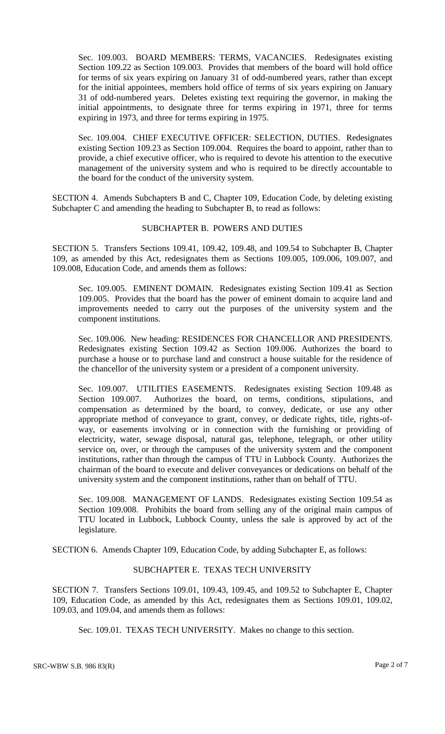Sec. 109.003. BOARD MEMBERS: TERMS, VACANCIES. Redesignates existing Section 109.22 as Section 109.003. Provides that members of the board will hold office for terms of six years expiring on January 31 of odd-numbered years, rather than except for the initial appointees, members hold office of terms of six years expiring on January 31 of odd-numbered years. Deletes existing text requiring the governor, in making the initial appointments, to designate three for terms expiring in 1971, three for terms expiring in 1973, and three for terms expiring in 1975.

Sec. 109.004. CHIEF EXECUTIVE OFFICER: SELECTION, DUTIES. Redesignates existing Section 109.23 as Section 109.004. Requires the board to appoint, rather than to provide, a chief executive officer, who is required to devote his attention to the executive management of the university system and who is required to be directly accountable to the board for the conduct of the university system.

SECTION 4. Amends Subchapters B and C, Chapter 109, Education Code, by deleting existing Subchapter C and amending the heading to Subchapter B, to read as follows:

### SUBCHAPTER B. POWERS AND DUTIES

SECTION 5. Transfers Sections 109.41, 109.42, 109.48, and 109.54 to Subchapter B, Chapter 109, as amended by this Act, redesignates them as Sections 109.005, 109.006, 109.007, and 109.008, Education Code, and amends them as follows:

Sec. 109.005. EMINENT DOMAIN. Redesignates existing Section 109.41 as Section 109.005. Provides that the board has the power of eminent domain to acquire land and improvements needed to carry out the purposes of the university system and the component institutions.

Sec. 109.006. New heading: RESIDENCES FOR CHANCELLOR AND PRESIDENTS. Redesignates existing Section 109.42 as Section 109.006. Authorizes the board to purchase a house or to purchase land and construct a house suitable for the residence of the chancellor of the university system or a president of a component university.

Sec. 109.007. UTILITIES EASEMENTS. Redesignates existing Section 109.48 as Section 109.007. Authorizes the board, on terms, conditions, stipulations, and compensation as determined by the board, to convey, dedicate, or use any other appropriate method of conveyance to grant, convey, or dedicate rights, title, rights-ofway, or easements involving or in connection with the furnishing or providing of electricity, water, sewage disposal, natural gas, telephone, telegraph, or other utility service on, over, or through the campuses of the university system and the component institutions, rather than through the campus of TTU in Lubbock County. Authorizes the chairman of the board to execute and deliver conveyances or dedications on behalf of the university system and the component institutions, rather than on behalf of TTU.

Sec. 109.008. MANAGEMENT OF LANDS. Redesignates existing Section 109.54 as Section 109.008. Prohibits the board from selling any of the original main campus of TTU located in Lubbock, Lubbock County, unless the sale is approved by act of the legislature.

SECTION 6. Amends Chapter 109, Education Code, by adding Subchapter E, as follows:

### SUBCHAPTER E. TEXAS TECH UNIVERSITY

SECTION 7. Transfers Sections 109.01, 109.43, 109.45, and 109.52 to Subchapter E, Chapter 109, Education Code, as amended by this Act, redesignates them as Sections 109.01, 109.02, 109.03, and 109.04, and amends them as follows:

Sec. 109.01. TEXAS TECH UNIVERSITY. Makes no change to this section.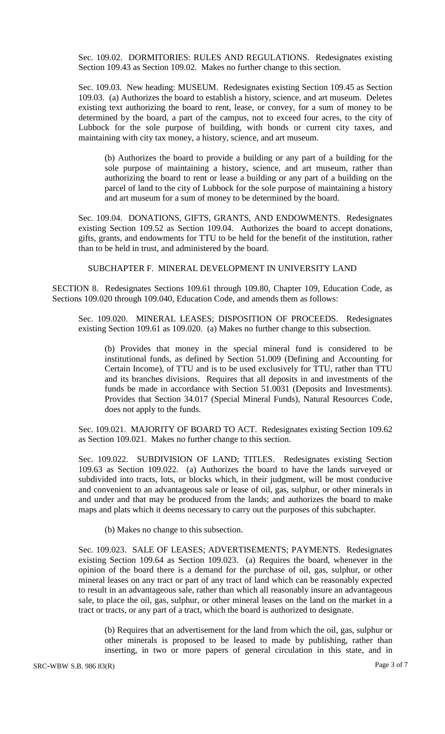Sec. 109.02. DORMITORIES: RULES AND REGULATIONS. Redesignates existing Section 109.43 as Section 109.02. Makes no further change to this section.

Sec. 109.03. New heading: MUSEUM. Redesignates existing Section 109.45 as Section 109.03. (a) Authorizes the board to establish a history, science, and art museum. Deletes existing text authorizing the board to rent, lease, or convey, for a sum of money to be determined by the board, a part of the campus, not to exceed four acres, to the city of Lubbock for the sole purpose of building, with bonds or current city taxes, and maintaining with city tax money, a history, science, and art museum.

(b) Authorizes the board to provide a building or any part of a building for the sole purpose of maintaining a history, science, and art museum, rather than authorizing the board to rent or lease a building or any part of a building on the parcel of land to the city of Lubbock for the sole purpose of maintaining a history and art museum for a sum of money to be determined by the board.

Sec. 109.04. DONATIONS, GIFTS, GRANTS, AND ENDOWMENTS. Redesignates existing Section 109.52 as Section 109.04. Authorizes the board to accept donations, gifts, grants, and endowments for TTU to be held for the benefit of the institution, rather than to be held in trust, and administered by the board.

SUBCHAPTER F. MINERAL DEVELOPMENT IN UNIVERSITY LAND

SECTION 8. Redesignates Sections 109.61 through 109.80, Chapter 109, Education Code, as Sections 109.020 through 109.040, Education Code, and amends them as follows:

Sec. 109.020. MINERAL LEASES; DISPOSITION OF PROCEEDS. Redesignates existing Section 109.61 as 109.020. (a) Makes no further change to this subsection.

(b) Provides that money in the special mineral fund is considered to be institutional funds, as defined by Section 51.009 (Defining and Accounting for Certain Income), of TTU and is to be used exclusively for TTU, rather than TTU and its branches divisions. Requires that all deposits in and investments of the funds be made in accordance with Section 51.0031 (Deposits and Investments). Provides that Section 34.017 (Special Mineral Funds), Natural Resources Code, does not apply to the funds.

Sec. 109.021. MAJORITY OF BOARD TO ACT. Redesignates existing Section 109.62 as Section 109.021. Makes no further change to this section.

Sec. 109.022. SUBDIVISION OF LAND; TITLES. Redesignates existing Section 109.63 as Section 109.022. (a) Authorizes the board to have the lands surveyed or subdivided into tracts, lots, or blocks which, in their judgment, will be most conducive and convenient to an advantageous sale or lease of oil, gas, sulphur, or other minerals in and under and that may be produced from the lands; and authorizes the board to make maps and plats which it deems necessary to carry out the purposes of this subchapter.

(b) Makes no change to this subsection.

Sec. 109.023. SALE OF LEASES; ADVERTISEMENTS; PAYMENTS. Redesignates existing Section 109.64 as Section 109.023. (a) Requires the board, whenever in the opinion of the board there is a demand for the purchase of oil, gas, sulphur, or other mineral leases on any tract or part of any tract of land which can be reasonably expected to result in an advantageous sale, rather than which all reasonably insure an advantageous sale, to place the oil, gas, sulphur, or other mineral leases on the land on the market in a tract or tracts, or any part of a tract, which the board is authorized to designate.

(b) Requires that an advertisement for the land from which the oil, gas, sulphur or other minerals is proposed to be leased to made by publishing, rather than inserting, in two or more papers of general circulation in this state, and in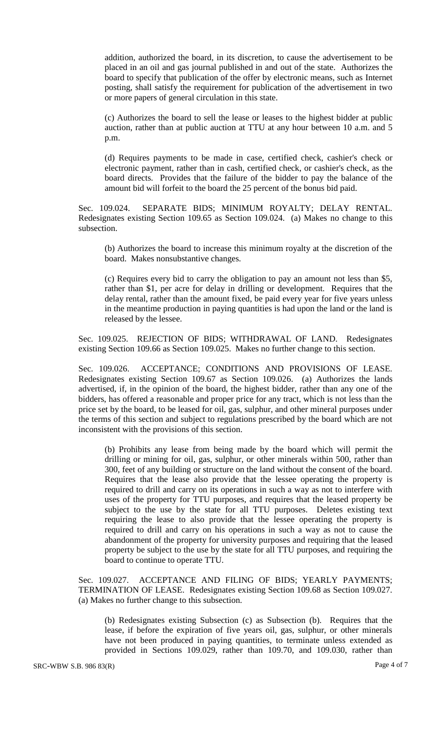addition, authorized the board, in its discretion, to cause the advertisement to be placed in an oil and gas journal published in and out of the state. Authorizes the board to specify that publication of the offer by electronic means, such as Internet posting, shall satisfy the requirement for publication of the advertisement in two or more papers of general circulation in this state.

(c) Authorizes the board to sell the lease or leases to the highest bidder at public auction, rather than at public auction at TTU at any hour between 10 a.m. and 5 p.m.

(d) Requires payments to be made in case, certified check, cashier's check or electronic payment, rather than in cash, certified check, or cashier's check, as the board directs. Provides that the failure of the bidder to pay the balance of the amount bid will forfeit to the board the 25 percent of the bonus bid paid.

Sec. 109.024. SEPARATE BIDS; MINIMUM ROYALTY; DELAY RENTAL. Redesignates existing Section 109.65 as Section 109.024. (a) Makes no change to this subsection.

(b) Authorizes the board to increase this minimum royalty at the discretion of the board. Makes nonsubstantive changes.

(c) Requires every bid to carry the obligation to pay an amount not less than \$5, rather than \$1, per acre for delay in drilling or development. Requires that the delay rental, rather than the amount fixed, be paid every year for five years unless in the meantime production in paying quantities is had upon the land or the land is released by the lessee.

Sec. 109.025. REJECTION OF BIDS; WITHDRAWAL OF LAND. Redesignates existing Section 109.66 as Section 109.025. Makes no further change to this section.

Sec. 109.026. ACCEPTANCE; CONDITIONS AND PROVISIONS OF LEASE. Redesignates existing Section 109.67 as Section 109.026. (a) Authorizes the lands advertised, if, in the opinion of the board, the highest bidder, rather than any one of the bidders, has offered a reasonable and proper price for any tract, which is not less than the price set by the board, to be leased for oil, gas, sulphur, and other mineral purposes under the terms of this section and subject to regulations prescribed by the board which are not inconsistent with the provisions of this section.

(b) Prohibits any lease from being made by the board which will permit the drilling or mining for oil, gas, sulphur, or other minerals within 500, rather than 300, feet of any building or structure on the land without the consent of the board. Requires that the lease also provide that the lessee operating the property is required to drill and carry on its operations in such a way as not to interfere with uses of the property for TTU purposes, and requires that the leased property be subject to the use by the state for all TTU purposes. Deletes existing text requiring the lease to also provide that the lessee operating the property is required to drill and carry on his operations in such a way as not to cause the abandonment of the property for university purposes and requiring that the leased property be subject to the use by the state for all TTU purposes, and requiring the board to continue to operate TTU.

Sec. 109.027. ACCEPTANCE AND FILING OF BIDS; YEARLY PAYMENTS; TERMINATION OF LEASE. Redesignates existing Section 109.68 as Section 109.027. (a) Makes no further change to this subsection.

(b) Redesignates existing Subsection (c) as Subsection (b). Requires that the lease, if before the expiration of five years oil, gas, sulphur, or other minerals have not been produced in paying quantities, to terminate unless extended as provided in Sections 109.029, rather than 109.70, and 109.030, rather than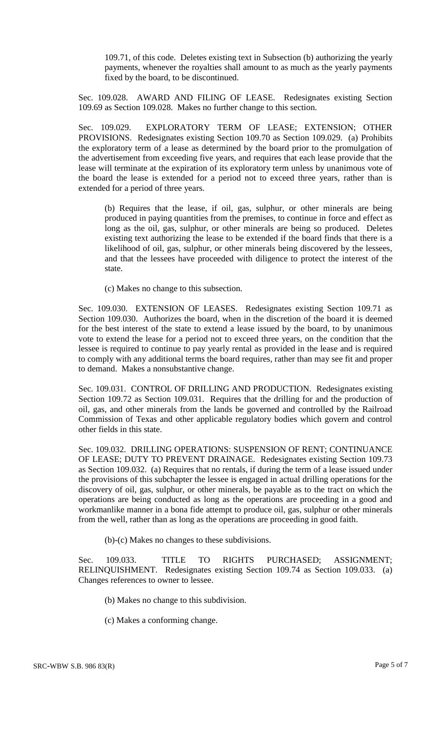109.71, of this code. Deletes existing text in Subsection (b) authorizing the yearly payments, whenever the royalties shall amount to as much as the yearly payments fixed by the board, to be discontinued.

Sec. 109.028. AWARD AND FILING OF LEASE. Redesignates existing Section 109.69 as Section 109.028. Makes no further change to this section.

Sec. 109.029. EXPLORATORY TERM OF LEASE; EXTENSION; OTHER PROVISIONS. Redesignates existing Section 109.70 as Section 109.029. (a) Prohibits the exploratory term of a lease as determined by the board prior to the promulgation of the advertisement from exceeding five years, and requires that each lease provide that the lease will terminate at the expiration of its exploratory term unless by unanimous vote of the board the lease is extended for a period not to exceed three years, rather than is extended for a period of three years.

(b) Requires that the lease, if oil, gas, sulphur, or other minerals are being produced in paying quantities from the premises, to continue in force and effect as long as the oil, gas, sulphur, or other minerals are being so produced. Deletes existing text authorizing the lease to be extended if the board finds that there is a likelihood of oil, gas, sulphur, or other minerals being discovered by the lessees, and that the lessees have proceeded with diligence to protect the interest of the state.

(c) Makes no change to this subsection.

Sec. 109.030. EXTENSION OF LEASES. Redesignates existing Section 109.71 as Section 109.030. Authorizes the board, when in the discretion of the board it is deemed for the best interest of the state to extend a lease issued by the board, to by unanimous vote to extend the lease for a period not to exceed three years, on the condition that the lessee is required to continue to pay yearly rental as provided in the lease and is required to comply with any additional terms the board requires, rather than may see fit and proper to demand. Makes a nonsubstantive change.

Sec. 109.031. CONTROL OF DRILLING AND PRODUCTION. Redesignates existing Section 109.72 as Section 109.031. Requires that the drilling for and the production of oil, gas, and other minerals from the lands be governed and controlled by the Railroad Commission of Texas and other applicable regulatory bodies which govern and control other fields in this state.

Sec. 109.032. DRILLING OPERATIONS: SUSPENSION OF RENT; CONTINUANCE OF LEASE; DUTY TO PREVENT DRAINAGE. Redesignates existing Section 109.73 as Section 109.032. (a) Requires that no rentals, if during the term of a lease issued under the provisions of this subchapter the lessee is engaged in actual drilling operations for the discovery of oil, gas, sulphur, or other minerals, be payable as to the tract on which the operations are being conducted as long as the operations are proceeding in a good and workmanlike manner in a bona fide attempt to produce oil, gas, sulphur or other minerals from the well, rather than as long as the operations are proceeding in good faith.

(b)-(c) Makes no changes to these subdivisions.

Sec. 109.033. TITLE TO RIGHTS PURCHASED; ASSIGNMENT; RELINQUISHMENT. Redesignates existing Section 109.74 as Section 109.033. (a) Changes references to owner to lessee.

(b) Makes no change to this subdivision.

(c) Makes a conforming change.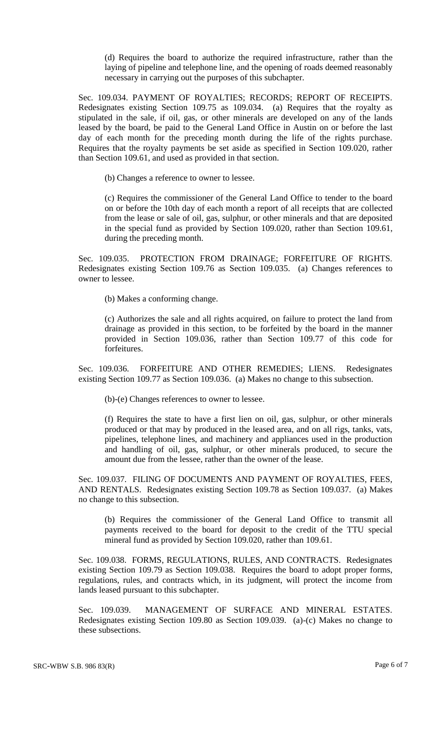(d) Requires the board to authorize the required infrastructure, rather than the laying of pipeline and telephone line, and the opening of roads deemed reasonably necessary in carrying out the purposes of this subchapter.

Sec. 109.034. PAYMENT OF ROYALTIES; RECORDS; REPORT OF RECEIPTS. Redesignates existing Section 109.75 as 109.034. (a) Requires that the royalty as stipulated in the sale, if oil, gas, or other minerals are developed on any of the lands leased by the board, be paid to the General Land Office in Austin on or before the last day of each month for the preceding month during the life of the rights purchase. Requires that the royalty payments be set aside as specified in Section 109.020, rather than Section 109.61, and used as provided in that section.

(b) Changes a reference to owner to lessee.

(c) Requires the commissioner of the General Land Office to tender to the board on or before the 10th day of each month a report of all receipts that are collected from the lease or sale of oil, gas, sulphur, or other minerals and that are deposited in the special fund as provided by Section 109.020, rather than Section 109.61, during the preceding month.

Sec. 109.035. PROTECTION FROM DRAINAGE; FORFEITURE OF RIGHTS. Redesignates existing Section 109.76 as Section 109.035. (a) Changes references to owner to lessee.

(b) Makes a conforming change.

(c) Authorizes the sale and all rights acquired, on failure to protect the land from drainage as provided in this section, to be forfeited by the board in the manner provided in Section 109.036, rather than Section 109.77 of this code for forfeitures.

Sec. 109.036. FORFEITURE AND OTHER REMEDIES; LIENS. Redesignates existing Section 109.77 as Section 109.036. (a) Makes no change to this subsection.

(b)-(e) Changes references to owner to lessee.

(f) Requires the state to have a first lien on oil, gas, sulphur, or other minerals produced or that may by produced in the leased area, and on all rigs, tanks, vats, pipelines, telephone lines, and machinery and appliances used in the production and handling of oil, gas, sulphur, or other minerals produced, to secure the amount due from the lessee, rather than the owner of the lease.

Sec. 109.037. FILING OF DOCUMENTS AND PAYMENT OF ROYALTIES, FEES, AND RENTALS. Redesignates existing Section 109.78 as Section 109.037. (a) Makes no change to this subsection.

(b) Requires the commissioner of the General Land Office to transmit all payments received to the board for deposit to the credit of the TTU special mineral fund as provided by Section 109.020, rather than 109.61.

Sec. 109.038. FORMS, REGULATIONS, RULES, AND CONTRACTS. Redesignates existing Section 109.79 as Section 109.038. Requires the board to adopt proper forms, regulations, rules, and contracts which, in its judgment, will protect the income from lands leased pursuant to this subchapter.

Sec. 109.039. MANAGEMENT OF SURFACE AND MINERAL ESTATES. Redesignates existing Section 109.80 as Section 109.039. (a)-(c) Makes no change to these subsections.